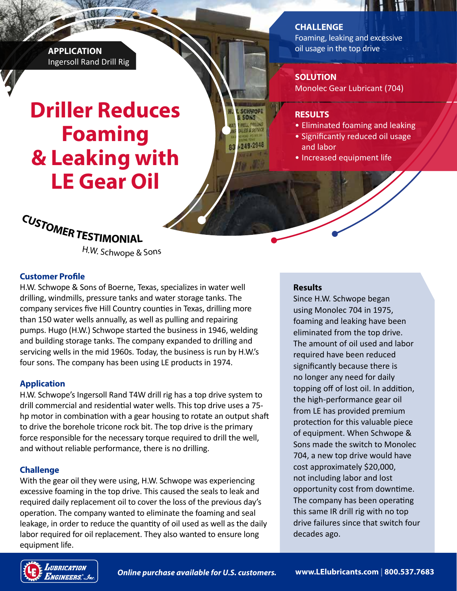**APPLICATION** Ingersoll Rand Drill Rig

# **Driller Reduces Foaming & Leaking with LE Gear Oil**

**CHALLENGE** 

Foaming, leaking and excessive oil usage in the top drive

Ш

**INTI** 

## **SOLUTION**

Monolec Gear Lubricant (704)

#### **RESULTS**

SCHWORE

249-2948

- Eliminated foaming and leaking
- Significantly reduced oil usage and labor
- Increased equipment life



<sup>H</sup>.W. <sup>S</sup>ch<sup>w</sup>op<sup>e</sup> & <sup>S</sup>on<sup>s</sup>

### **Customer Profile**

H.W. Schwope & Sons of Boerne, Texas, specializes in water well drilling, windmills, pressure tanks and water storage tanks. The company services five Hill Country counties in Texas, drilling more than 150 water wells annually, as well as pulling and repairing pumps. Hugo (H.W.) Schwope started the business in 1946, welding and building storage tanks. The company expanded to drilling and servicing wells in the mid 1960s. Today, the business is run by H.W.'s four sons. The company has been using LE products in 1974.

# **Application**

H.W. Schwope's Ingersoll Rand T4W drill rig has a top drive system to drill commercial and residential water wells. This top drive uses a 75 hp motor in combination with a gear housing to rotate an output shaft to drive the borehole tricone rock bit. The top drive is the primary force responsible for the necessary torque required to drill the well, and without reliable performance, there is no drilling.

# **Challenge**

With the gear oil they were using, H.W. Schwope was experiencing excessive foaming in the top drive. This caused the seals to leak and required daily replacement oil to cover the loss of the previous day's operation. The company wanted to eliminate the foaming and seal leakage, in order to reduce the quantity of oil used as well as the daily labor required for oil replacement. They also wanted to ensure long equipment life.

### **Results**

Since H.W. Schwope began using Monolec 704 in 1975, foaming and leaking have been eliminated from the top drive. The amount of oil used and labor required have been reduced significantly because there is no longer any need for daily topping off of lost oil. In addition, the high-performance gear oil from LE has provided premium protection for this valuable piece of equipment. When Schwope & Sons made the switch to Monolec 704, a new top drive would have cost approximately \$20,000, not including labor and lost opportunity cost from downtime. The company has been operating this same IR drill rig with no top drive failures since that switch four decades ago.